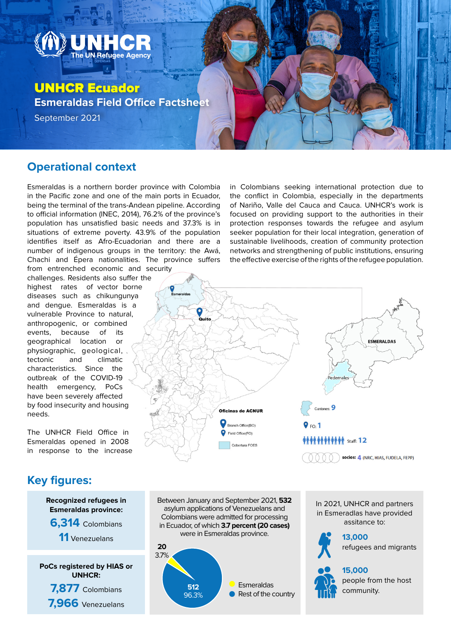

#### **Operational context**

Esmeraldas is a northern border province with Colombia in the Pacific zone and one of the main ports in Ecuador, being the terminal of the trans-Andean pipeline. According to official information (INEC, 2014), 76.2% of the province's population has unsatisfied basic needs and 37.3% is in situations of extreme poverty. 43.9% of the population identifies itself as Afro-Ecuadorian and there are a number of indigenous groups in the territory: the Awá, Chachi and Épera nationalities. The province suffers from entrenched economic and security

challenges. Residents also suffer the highest rates of vector borne diseases such as chikungunya and dengue. Esmeraldas is a vulnerable Province to natural, anthropogenic, or combined events, because of its geographical location or physiographic, geological, tectonic and climatic characteristics. Since the outbreak of the COVID-19 health emergency, PoCs have been severely affected by food insecurity and housing needs.

The UNHCR Field Office in Esmeraldas opened in 2008 in response to the increase

### **Key figures:**



in Colombians seeking international protection due to the conflict in Colombia, especially in the departments of Nariño, Valle del Cauca and Cauca. UNHCR's work is focused on providing support to the authorities in their protection responses towards the refugee and asylum seeker population for their local integration, generation of sustainable livelihoods, creation of community protection networks and strengthening of public institutions, ensuring the effective exercise of the rights of the refugee population.





Between January and September 2021, **532**

In 2021, UNHCR and partners in Esmeradlas have provided assitance to:



**13,000** refugees and migrants

**15,000**

people from the host